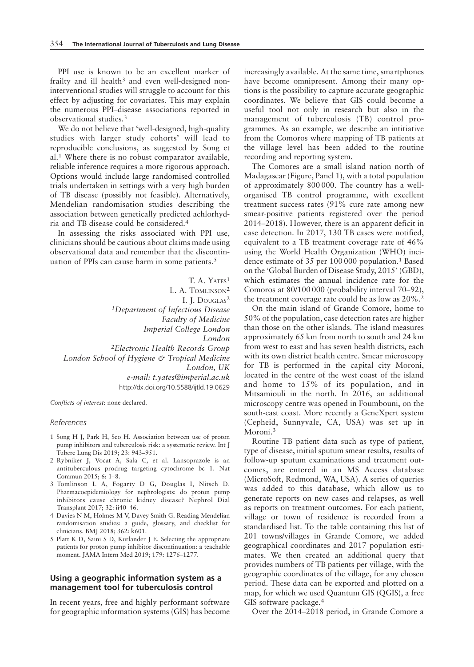PPI use is known to be an excellent marker of frailty and ill health<sup>3</sup> and even well-designed noninterventional studies will struggle to account for this effect by adjusting for covariates. This may explain the numerous PPI–disease associations reported in observational studies.<sup>3</sup>

We do not believe that 'well-designed, high-quality studies with larger study cohorts' will lead to reproducible conclusions, as suggested by Song et al.<sup>1</sup> Where there is no robust comparator available, reliable inference requires a more rigorous approach. Options would include large randomised controlled trials undertaken in settings with a very high burden of TB disease (possibly not feasible). Alternatively, Mendelian randomisation studies describing the association between genetically predicted achlorhydria and TB disease could be considered.<sup>4</sup>

In assessing the risks associated with PPI use, clinicians should be cautious about claims made using observational data and remember that the discontinuation of PPIs can cause harm in some patients.<sup>5</sup>

T. A. YATES<sup>1</sup> L. A. TOMLINSON<sup>2</sup> I. J. DOUGLAS<sup>2</sup> 1Department of Infectious Disease Faculty of Medicine Imperial College London London 2Electronic Health Records Group London School of Hygiene & Tropical Medicine London, UK e-mail: t.yates@imperial.ac.uk http://dx.doi.org/10.5588/ijtld.19.0629

Conflicts of interest: none declared.

## References

- 1 Song H J, Park H, Seo H. Association between use of proton pump inhibitors and tuberculosis risk: a systematic review. Int J Tuberc Lung Dis 2019; 23: 943–951.
- 2 Rybniker J, Vocat A, Sala C, et al. Lansoprazole is an antituberculous prodrug targeting cytochrome bc 1. Nat Commun 2015; 6: 1–8.
- 3 Tomlinson L A, Fogarty D G, Douglas I, Nitsch D. Pharmacoepidemiology for nephrologists: do proton pump inhibitors cause chronic kidney disease? Nephrol Dial Transplant 2017; 32: ii40–46.
- 4 Davies N M, Holmes M V, Davey Smith G. Reading Mendelian randomisation studies: a guide, glossary, and checklist for clinicians. BMJ 2018; 362: k601.
- 5 Platt K D, Saini S D, Kurlander J E. Selecting the appropriate patients for proton pump inhibitor discontinuation: a teachable moment. JAMA Intern Med 2019; 179: 1276–1277.

## Using a geographic information system as a management tool for tuberculosis control

In recent years, free and highly performant software for geographic information systems (GIS) has become increasingly available. At the same time, smartphones have become omnipresent. Among their many options is the possibility to capture accurate geographic coordinates. We believe that GIS could become a useful tool not only in research but also in the management of tuberculosis (TB) control programmes. As an example, we describe an intitiative from the Comoros where mapping of TB patients at the village level has been added to the routine recording and reporting system.

The Comores are a small island nation north of Madagascar (Figure, Panel 1), with a total population of approximately 800 000. The country has a wellorganised TB control programme, with excellent treatment success rates (91% cure rate among new smear-positive patients registered over the period 2014–2018). However, there is an apparent deficit in case detection. In 2017, 130 TB cases were notified, equivalent to a TB treatment coverage rate of 46% using the World Health Organization (WHO) incidence estimate of 35 per 100 000 population.<sup>1</sup> Based on the 'Global Burden of Disease Study, 2015' (GBD), which estimates the annual incidence rate for the Comoros at 80/100 000 (probability interval 70–92), the treatment coverage rate could be as low as 20%.2

On the main island of Grande Comore, home to 50% of the population, case detection rates are higher than those on the other islands. The island measures approximately 65 km from north to south and 24 km from west to east and has seven health districts, each with its own district health centre. Smear microscopy for TB is performed in the capital city Moroni, located in the centre of the west coast of the island and home to 15% of its population, and in Mitsamiouli in the north. In 2016, an additional microscopy centre was opened in Foumbouni, on the south-east coast. More recently a GeneXpert system (Cepheid, Sunnyvale, CA, USA) was set up in Moroni.3

Routine TB patient data such as type of patient, type of disease, initial sputum smear results, results of follow-up sputum examinations and treatment outcomes, are entered in an MS Access database (MicroSoft, Redmond, WA, USA). A series of queries was added to this database, which allow us to generate reports on new cases and relapses, as well as reports on treatment outcomes. For each patient, village or town of residence is recorded from a standardised list. To the table containing this list of 201 towns/villages in Grande Comore, we added geographical coordinates and 2017 population estimates. We then created an additional query that provides numbers of TB patients per village, with the geographic coordinates of the village, for any chosen period. These data can be exported and plotted on a map, for which we used Quantum GIS (QGIS), a free GIS software package.<sup>4</sup>

Over the 2014–2018 period, in Grande Comore a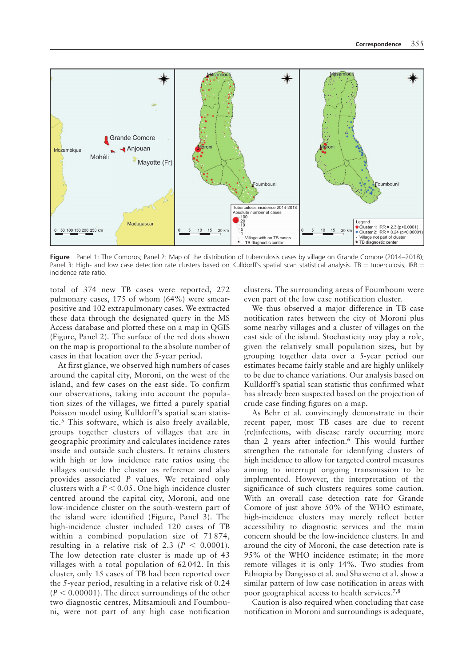

Figure Panel 1: The Comoros; Panel 2: Map of the distribution of tuberculosis cases by village on Grande Comore (2014–2018); Panel 3: High- and low case detection rate clusters based on Kulldorff's spatial scan statistical analysis. TB = tuberculosis; IRR = incidence rate ratio.

total of 374 new TB cases were reported, 272 pulmonary cases, 175 of whom (64%) were smearpositive and 102 extrapulmonary cases. We extracted these data through the designated query in the MS Access database and plotted these on a map in QGIS (Figure, Panel 2). The surface of the red dots shown on the map is proportional to the absolute number of cases in that location over the 5-year period.

At first glance, we observed high numbers of cases around the capital city, Moroni, on the west of the island, and few cases on the east side. To confirm our observations, taking into account the population sizes of the villages, we fitted a purely spatial Poisson model using Kulldorff's spatial scan statistic.<sup>5</sup> This software, which is also freely available, groups together clusters of villages that are in geographic proximity and calculates incidence rates inside and outside such clusters. It retains clusters with high or low incidence rate ratios using the villages outside the cluster as reference and also provides associated P values. We retained only clusters with a  $P < 0.05$ . One high-incidence cluster centred around the capital city, Moroni, and one low-incidence cluster on the south-western part of the island were identified (Figure, Panel 3). The high-incidence cluster included 120 cases of TB within a combined population size of 71874, resulting in a relative risk of 2.3 ( $P < 0.0001$ ). The low detection rate cluster is made up of 43 villages with a total population of 62 042. In this cluster, only 15 cases of TB had been reported over the 5-year period, resulting in a relative risk of 0.24  $(P < 0.00001)$ . The direct surroundings of the other two diagnostic centres, Mitsamiouli and Foumbouni, were not part of any high case notification clusters. The surrounding areas of Foumbouni were even part of the low case notification cluster.

We thus observed a major difference in TB case notification rates between the city of Moroni plus some nearby villages and a cluster of villages on the east side of the island. Stochasticity may play a role, given the relatively small population sizes, but by grouping together data over a 5-year period our estimates became fairly stable and are highly unlikely to be due to chance variations. Our analysis based on Kulldorff's spatial scan statistic thus confirmed what has already been suspected based on the projection of crude case finding figures on a map.

As Behr et al. convincingly demonstrate in their recent paper, most TB cases are due to recent (re)infections, with disease rarely occurring more than 2 years after infection.6 This would further strengthen the rationale for identifying clusters of high incidence to allow for targeted control measures aiming to interrupt ongoing transmission to be implemented. However, the interpretation of the significance of such clusters requires some caution. With an overall case detection rate for Grande Comore of just above 50% of the WHO estimate, high-incidence clusters may merely reflect better accessibility to diagnostic services and the main concern should be the low-incidence clusters. In and around the city of Moroni, the case detection rate is 95% of the WHO incidence estimate; in the more remote villages it is only 14%. Two studies from Ethiopia by Dangisso et al. and Shaweno et al. show a similar pattern of low case notification in areas with poor geographical access to health services.7,8

Caution is also required when concluding that case notification in Moroni and surroundings is adequate,